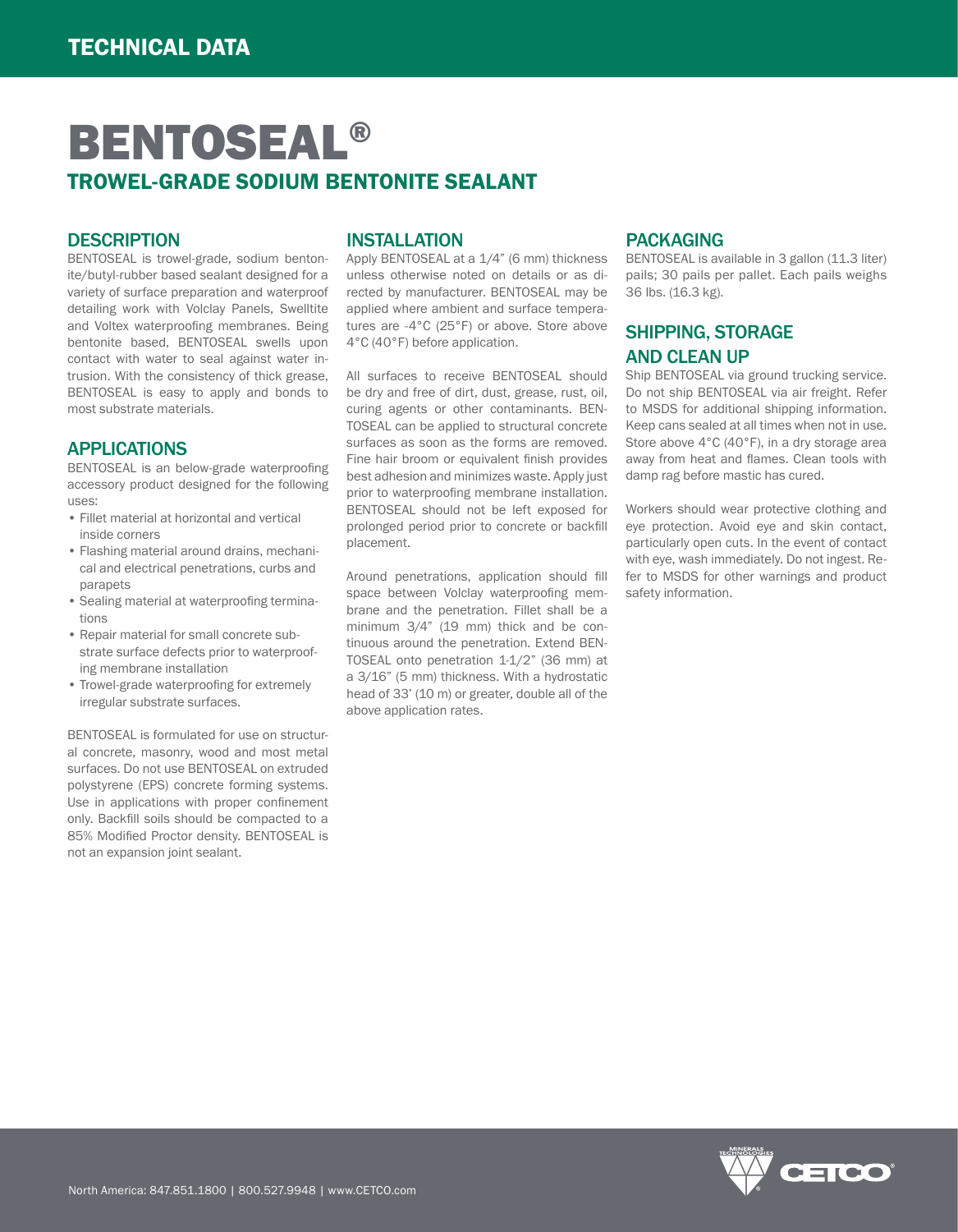# BENTOSEAL® TROWEL-GRADE SODIUM BENTONITE SEALANT

#### **DESCRIPTION**

BENTOSEAL is trowel-grade, sodium bentonite/butyl-rubber based sealant designed for a variety of surface preparation and waterproof detailing work with Volclay Panels, Swelltite and Voltex waterproofing membranes. Being bentonite based, BENTOSEAL swells upon contact with water to seal against water intrusion. With the consistency of thick grease, BENTOSEAL is easy to apply and bonds to most substrate materials.

### APPLICATIONS

BENTOSEAL is an below-grade waterproofing accessory product designed for the following uses:

- Fillet material at horizontal and vertical inside corners
- Flashing material around drains, mechanical and electrical penetrations, curbs and parapets
- Sealing material at waterproofing terminations
- Repair material for small concrete substrate surface defects prior to waterproofing membrane installation
- Trowel-grade waterproofing for extremely irregular substrate surfaces.

BENTOSEAL is formulated for use on structural concrete, masonry, wood and most metal surfaces. Do not use BENTOSEAL on extruded polystyrene (EPS) concrete forming systems. Use in applications with proper confinement only. Backfill soils should be compacted to a 85% Modified Proctor density. BENTOSEAL is not an expansion joint sealant.

### INSTALLATION

Apply BENTOSEAL at a 1/4" (6 mm) thickness unless otherwise noted on details or as directed by manufacturer. BENTOSEAL may be applied where ambient and surface temperatures are -4°C (25°F) or above. Store above 4°C (40°F) before application.

All surfaces to receive BENTOSEAL should be dry and free of dirt, dust, grease, rust, oil, curing agents or other contaminants. BEN-TOSEAL can be applied to structural concrete surfaces as soon as the forms are removed. Fine hair broom or equivalent finish provides best adhesion and minimizes waste. Apply just prior to waterproofing membrane installation. BENTOSEAL should not be left exposed for prolonged period prior to concrete or backfill placement.

Around penetrations, application should fill space between Volclay waterproofing membrane and the penetration. Fillet shall be a minimum 3/4" (19 mm) thick and be continuous around the penetration. Extend BEN-TOSEAL onto penetration 1-1/2" (36 mm) at a 3/16" (5 mm) thickness. With a hydrostatic head of 33' (10 m) or greater, double all of the above application rates.

#### PACKAGING

BENTOSEAL is available in 3 gallon (11.3 liter) pails; 30 pails per pallet. Each pails weighs 36 lbs. (16.3 kg).

# SHIPPING, STORAGE AND CLEAN UP

Ship BENTOSEAL via ground trucking service. Do not ship BENTOSEAL via air freight. Refer to MSDS for additional shipping information. Keep cans sealed at all times when not in use. Store above 4°C (40°F), in a dry storage area away from heat and flames. Clean tools with damp rag before mastic has cured.

Workers should wear protective clothing and eye protection. Avoid eye and skin contact, particularly open cuts. In the event of contact with eye, wash immediately. Do not ingest. Refer to MSDS for other warnings and product safety information.